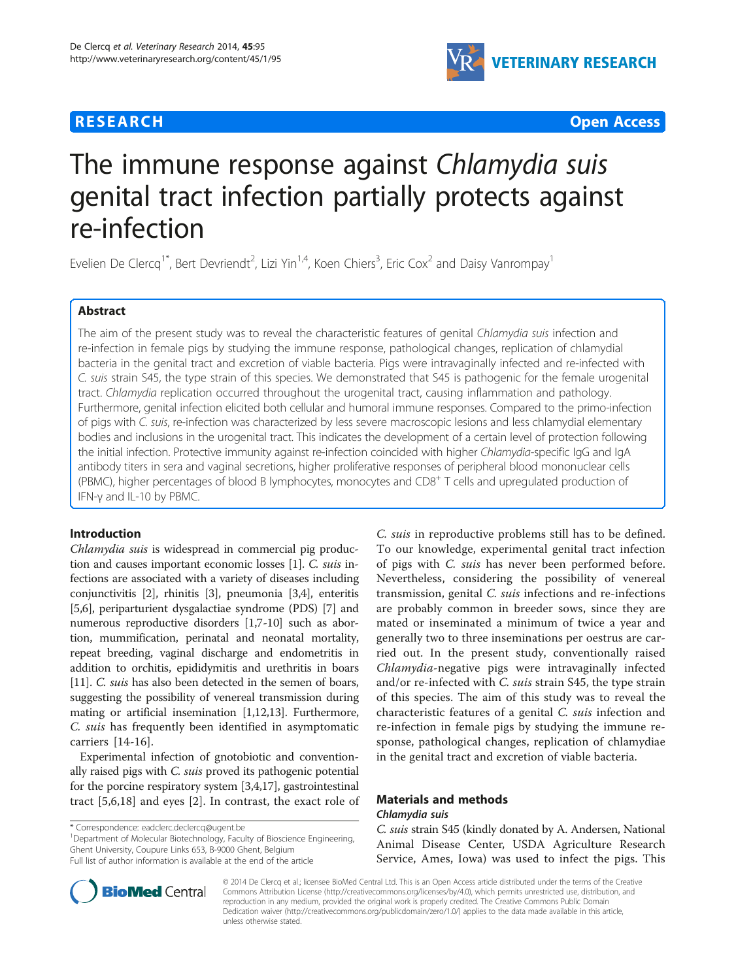# **RESEARCH CHE Open Access**



# The immune response against Chlamydia suis genital tract infection partially protects against re-infection

Evelien De Clercq<sup>1\*</sup>, Bert Devriendt<sup>2</sup>, Lizi Yin<sup>1,4</sup>, Koen Chiers<sup>3</sup>, Eric Cox<sup>2</sup> and Daisy Vanrompay<sup>1</sup>

# Abstract

The aim of the present study was to reveal the characteristic features of genital Chlamydia suis infection and re-infection in female pigs by studying the immune response, pathological changes, replication of chlamydial bacteria in the genital tract and excretion of viable bacteria. Pigs were intravaginally infected and re-infected with C. suis strain S45, the type strain of this species. We demonstrated that S45 is pathogenic for the female urogenital tract. Chlamydia replication occurred throughout the urogenital tract, causing inflammation and pathology. Furthermore, genital infection elicited both cellular and humoral immune responses. Compared to the primo-infection of pigs with C. suis, re-infection was characterized by less severe macroscopic lesions and less chlamydial elementary bodies and inclusions in the urogenital tract. This indicates the development of a certain level of protection following the initial infection. Protective immunity against re-infection coincided with higher Chlamydia-specific IgG and IgA antibody titers in sera and vaginal secretions, higher proliferative responses of peripheral blood mononuclear cells (PBMC), higher percentages of blood B lymphocytes, monocytes and CD8+ T cells and upregulated production of IFN-γ and IL-10 by PBMC.

# Introduction

Chlamydia suis is widespread in commercial pig production and causes important economic losses [[1](#page-10-0)]. C. suis infections are associated with a variety of diseases including conjunctivitis [\[2\]](#page-10-0), rhinitis [[3\]](#page-10-0), pneumonia [[3,4](#page-10-0)], enteritis [[5,6](#page-10-0)], periparturient dysgalactiae syndrome (PDS) [\[7\]](#page-10-0) and numerous reproductive disorders [\[1,7-10\]](#page-10-0) such as abortion, mummification, perinatal and neonatal mortality, repeat breeding, vaginal discharge and endometritis in addition to orchitis, epididymitis and urethritis in boars [[11](#page-10-0)]. C. *suis* has also been detected in the semen of boars, suggesting the possibility of venereal transmission during mating or artificial insemination [\[1,12,](#page-10-0)[13](#page-11-0)]. Furthermore, C. suis has frequently been identified in asymptomatic carriers [\[14](#page-11-0)-[16\]](#page-11-0).

Experimental infection of gnotobiotic and conventionally raised pigs with C. suis proved its pathogenic potential for the porcine respiratory system [\[3,4](#page-10-0)[,17\]](#page-11-0), gastrointestinal tract [[5,6,](#page-10-0)[18\]](#page-11-0) and eyes [[2](#page-10-0)]. In contrast, the exact role of

\* Correspondence: [eadclerc.declercq@ugent.be](mailto:eadclerc.declercq@ugent.be) <sup>1</sup>

<sup>1</sup>Department of Molecular Biotechnology, Faculty of Bioscience Engineering, Ghent University, Coupure Links 653, B-9000 Ghent, Belgium Full list of author information is available at the end of the article

C. suis in reproductive problems still has to be defined. To our knowledge, experimental genital tract infection of pigs with C. suis has never been performed before. Nevertheless, considering the possibility of venereal transmission, genital C. suis infections and re-infections are probably common in breeder sows, since they are mated or inseminated a minimum of twice a year and generally two to three inseminations per oestrus are carried out. In the present study, conventionally raised Chlamydia-negative pigs were intravaginally infected and/or re-infected with C. suis strain S45, the type strain of this species. The aim of this study was to reveal the characteristic features of a genital C. suis infection and re-infection in female pigs by studying the immune response, pathological changes, replication of chlamydiae in the genital tract and excretion of viable bacteria.

# Materials and methods

#### Chlamydia suis

C. suis strain S45 (kindly donated by A. Andersen, National Animal Disease Center, USDA Agriculture Research Service, Ames, Iowa) was used to infect the pigs. This



© 2014 De Clercq et al.; licensee BioMed Central Ltd. This is an Open Access article distributed under the terms of the Creative Commons Attribution License [\(http://creativecommons.org/licenses/by/4.0\)](http://creativecommons.org/licenses/by/4.0), which permits unrestricted use, distribution, and reproduction in any medium, provided the original work is properly credited. The Creative Commons Public Domain Dedication waiver [\(http://creativecommons.org/publicdomain/zero/1.0/](http://creativecommons.org/publicdomain/zero/1.0/)) applies to the data made available in this article, unless otherwise stated.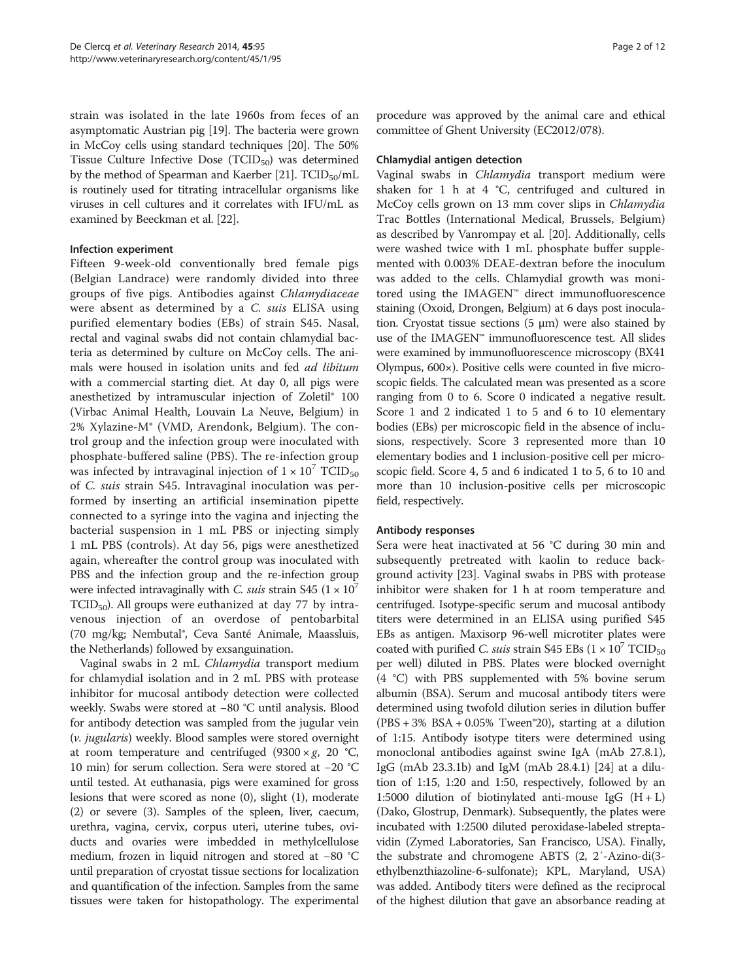strain was isolated in the late 1960s from feces of an asymptomatic Austrian pig [[19](#page-11-0)]. The bacteria were grown in McCoy cells using standard techniques [[20](#page-11-0)]. The 50% Tissue Culture Infective Dose  $(TCID_{50})$  was determined by the method of Spearman and Kaerber [[21](#page-11-0)].  $TCID_{50}/mL$ is routinely used for titrating intracellular organisms like viruses in cell cultures and it correlates with IFU/mL as examined by Beeckman et al. [[22](#page-11-0)].

# Infection experiment

Fifteen 9-week-old conventionally bred female pigs (Belgian Landrace) were randomly divided into three groups of five pigs. Antibodies against Chlamydiaceae were absent as determined by a C. suis ELISA using purified elementary bodies (EBs) of strain S45. Nasal, rectal and vaginal swabs did not contain chlamydial bacteria as determined by culture on McCoy cells. The animals were housed in isolation units and fed ad libitum with a commercial starting diet. At day 0, all pigs were anesthetized by intramuscular injection of Zoletil® 100 (Virbac Animal Health, Louvain La Neuve, Belgium) in 2% Xylazine-M® (VMD, Arendonk, Belgium). The control group and the infection group were inoculated with phosphate-buffered saline (PBS). The re-infection group was infected by intravaginal injection of  $1 \times 10^7$  TCID<sub>50</sub> of C. suis strain S45. Intravaginal inoculation was performed by inserting an artificial insemination pipette connected to a syringe into the vagina and injecting the bacterial suspension in 1 mL PBS or injecting simply 1 mL PBS (controls). At day 56, pigs were anesthetized again, whereafter the control group was inoculated with PBS and the infection group and the re-infection group were infected intravaginally with C. suis strain S45  $(1 \times 10^7)$  $TCID<sub>50</sub>$ ). All groups were euthanized at day 77 by intravenous injection of an overdose of pentobarbital (70 mg/kg; Nembutal®, Ceva Santé Animale, Maassluis, the Netherlands) followed by exsanguination.

Vaginal swabs in 2 mL Chlamydia transport medium for chlamydial isolation and in 2 mL PBS with protease inhibitor for mucosal antibody detection were collected weekly. Swabs were stored at −80 °C until analysis. Blood for antibody detection was sampled from the jugular vein (v. jugularis) weekly. Blood samples were stored overnight at room temperature and centrifuged  $(9300 \times g, 20 \degree C,$ 10 min) for serum collection. Sera were stored at −20 °C until tested. At euthanasia, pigs were examined for gross lesions that were scored as none (0), slight (1), moderate (2) or severe (3). Samples of the spleen, liver, caecum, urethra, vagina, cervix, corpus uteri, uterine tubes, oviducts and ovaries were imbedded in methylcellulose medium, frozen in liquid nitrogen and stored at −80 °C until preparation of cryostat tissue sections for localization and quantification of the infection. Samples from the same tissues were taken for histopathology. The experimental procedure was approved by the animal care and ethical committee of Ghent University (EC2012/078).

# Chlamydial antigen detection

Vaginal swabs in Chlamydia transport medium were shaken for 1 h at 4 °C, centrifuged and cultured in McCoy cells grown on 13 mm cover slips in Chlamydia Trac Bottles (International Medical, Brussels, Belgium) as described by Vanrompay et al. [\[20\]](#page-11-0). Additionally, cells were washed twice with 1 mL phosphate buffer supplemented with 0.003% DEAE-dextran before the inoculum was added to the cells. Chlamydial growth was monitored using the IMAGEN™ direct immunofluorescence staining (Oxoid, Drongen, Belgium) at 6 days post inoculation. Cryostat tissue sections (5 μm) were also stained by use of the IMAGEN™ immunofluorescence test. All slides were examined by immunofluorescence microscopy (BX41 Olympus, 600×). Positive cells were counted in five microscopic fields. The calculated mean was presented as a score ranging from 0 to 6. Score 0 indicated a negative result. Score 1 and 2 indicated 1 to 5 and 6 to 10 elementary bodies (EBs) per microscopic field in the absence of inclusions, respectively. Score 3 represented more than 10 elementary bodies and 1 inclusion-positive cell per microscopic field. Score 4, 5 and 6 indicated 1 to 5, 6 to 10 and more than 10 inclusion-positive cells per microscopic field, respectively.

#### Antibody responses

Sera were heat inactivated at 56 °C during 30 min and subsequently pretreated with kaolin to reduce background activity [\[23\]](#page-11-0). Vaginal swabs in PBS with protease inhibitor were shaken for 1 h at room temperature and centrifuged. Isotype-specific serum and mucosal antibody titers were determined in an ELISA using purified S45 EBs as antigen. Maxisorp 96-well microtiter plates were coated with purified *C. suis* strain S45 EBs  $(1 \times 10^7 \text{ TCID}_{50})$ per well) diluted in PBS. Plates were blocked overnight (4 °C) with PBS supplemented with 5% bovine serum albumin (BSA). Serum and mucosal antibody titers were determined using twofold dilution series in dilution buffer (PBS + 3% BSA + 0.05% Tween®20), starting at a dilution of 1:15. Antibody isotype titers were determined using monoclonal antibodies against swine IgA (mAb 27.8.1), IgG (mAb 23.3.1b) and IgM (mAb 28.4.1) [\[24\]](#page-11-0) at a dilution of 1:15, 1:20 and 1:50, respectively, followed by an 1:5000 dilution of biotinylated anti-mouse IgG  $(H + L)$ (Dako, Glostrup, Denmark). Subsequently, the plates were incubated with 1:2500 diluted peroxidase-labeled streptavidin (Zymed Laboratories, San Francisco, USA). Finally, the substrate and chromogene ABTS (2, 2′-Azino-di(3 ethylbenzthiazoline-6-sulfonate); KPL, Maryland, USA) was added. Antibody titers were defined as the reciprocal of the highest dilution that gave an absorbance reading at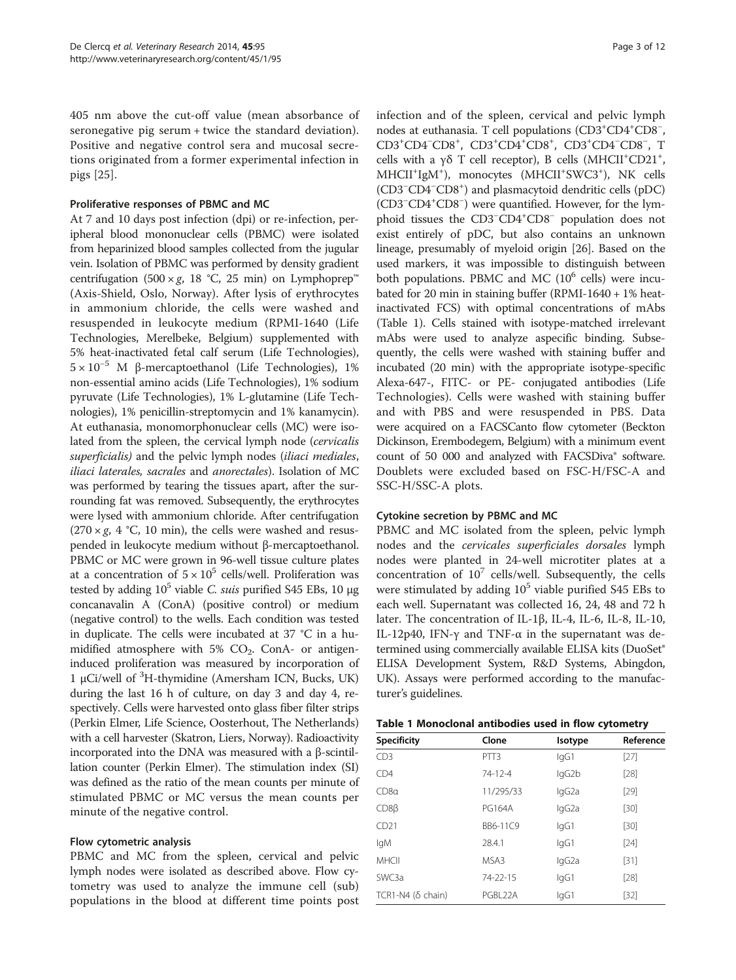405 nm above the cut-off value (mean absorbance of seronegative pig serum + twice the standard deviation). Positive and negative control sera and mucosal secretions originated from a former experimental infection in pigs [\[25](#page-11-0)].

# Proliferative responses of PBMC and MC

At 7 and 10 days post infection (dpi) or re-infection, peripheral blood mononuclear cells (PBMC) were isolated from heparinized blood samples collected from the jugular vein. Isolation of PBMC was performed by density gradient centrifugation (500 × g, 18 °C, 25 min) on Lymphoprep™ (Axis-Shield, Oslo, Norway). After lysis of erythrocytes in ammonium chloride, the cells were washed and resuspended in leukocyte medium (RPMI-1640 (Life Technologies, Merelbeke, Belgium) supplemented with 5% heat-inactivated fetal calf serum (Life Technologies),  $5 \times 10^{-5}$  M β-mercaptoethanol (Life Technologies), 1% non-essential amino acids (Life Technologies), 1% sodium pyruvate (Life Technologies), 1% L-glutamine (Life Technologies), 1% penicillin-streptomycin and 1% kanamycin). At euthanasia, monomorphonuclear cells (MC) were isolated from the spleen, the cervical lymph node (cervicalis superficialis) and the pelvic lymph nodes (iliaci mediales, iliaci laterales, sacrales and anorectales). Isolation of MC was performed by tearing the tissues apart, after the surrounding fat was removed. Subsequently, the erythrocytes were lysed with ammonium chloride. After centrifugation  $(270 \times g, 4 \degree C, 10 \text{ min})$ , the cells were washed and resuspended in leukocyte medium without β-mercaptoethanol. PBMC or MC were grown in 96-well tissue culture plates at a concentration of  $5 \times 10^5$  cells/well. Proliferation was tested by adding  $10^5$  viable C. suis purified S45 EBs, 10  $\mu$ g concanavalin A (ConA) (positive control) or medium (negative control) to the wells. Each condition was tested in duplicate. The cells were incubated at 37 °C in a humidified atmosphere with  $5\%$  CO<sub>2</sub>. ConA- or antigeninduced proliferation was measured by incorporation of 1 μCi/well of <sup>3</sup> H-thymidine (Amersham ICN, Bucks, UK) during the last 16 h of culture, on day 3 and day 4, respectively. Cells were harvested onto glass fiber filter strips (Perkin Elmer, Life Science, Oosterhout, The Netherlands) with a cell harvester (Skatron, Liers, Norway). Radioactivity incorporated into the DNA was measured with a β-scintillation counter (Perkin Elmer). The stimulation index (SI) was defined as the ratio of the mean counts per minute of stimulated PBMC or MC versus the mean counts per minute of the negative control.

# Flow cytometric analysis

PBMC and MC from the spleen, cervical and pelvic lymph nodes were isolated as described above. Flow cytometry was used to analyze the immune cell (sub) populations in the blood at different time points post infection and of the spleen, cervical and pelvic lymph nodes at euthanasia. T cell populations (CD3<sup>+</sup>CD4<sup>+</sup>CD8<sup>-</sup>, CD3<sup>+</sup>CD4<sup>-</sup>CD8<sup>+</sup>, CD3<sup>+</sup>CD4<sup>+</sup>CD8<sup>+</sup>, CD3<sup>+</sup>CD4<sup>-</sup>CD8<sup>-</sup>, T cells with a γδ T cell receptor), B cells (MHCII<sup>+</sup>CD21<sup>+</sup>, MHCII<sup>+</sup>IgM<sup>+</sup>), monocytes (MHCII<sup>+</sup>SWC3<sup>+</sup>), NK cells (CD3<sup>−</sup> CD4<sup>−</sup> CD8+ ) and plasmacytoid dendritic cells (pDC) (CD3<sup>−</sup> CD4+ CD8<sup>−</sup> ) were quantified. However, for the lymphoid tissues the CD3<sup>-</sup>CD4<sup>+</sup>CD8<sup>-</sup> population does not exist entirely of pDC, but also contains an unknown lineage, presumably of myeloid origin [[26\]](#page-11-0). Based on the used markers, it was impossible to distinguish between both populations. PBMC and MC  $(10^6 \text{ cells})$  were incubated for 20 min in staining buffer (RPMI-1640 +  $1\%$  heatinactivated FCS) with optimal concentrations of mAbs (Table 1). Cells stained with isotype-matched irrelevant mAbs were used to analyze aspecific binding. Subsequently, the cells were washed with staining buffer and incubated (20 min) with the appropriate isotype-specific Alexa-647-, FITC- or PE- conjugated antibodies (Life Technologies). Cells were washed with staining buffer and with PBS and were resuspended in PBS. Data were acquired on a FACSCanto flow cytometer (Beckton Dickinson, Erembodegem, Belgium) with a minimum event count of 50 000 and analyzed with FACSDiva® software. Doublets were excluded based on FSC-H/FSC-A and SSC-H/SSC-A plots.

#### Cytokine secretion by PBMC and MC

PBMC and MC isolated from the spleen, pelvic lymph nodes and the cervicales superficiales dorsales lymph nodes were planted in 24-well microtiter plates at a concentration of  $10^7$  cells/well. Subsequently, the cells were stimulated by adding  $10^5$  viable purified S45 EBs to each well. Supernatant was collected 16, 24, 48 and 72 h later. The concentration of IL-1β, IL-4, IL-6, IL-8, IL-10, IL-12p40, IFN-γ and TNF-α in the supernatant was determined using commercially available ELISA kits (DuoSet® ELISA Development System, R&D Systems, Abingdon, UK). Assays were performed according to the manufacturer's guidelines.

|  |  | Table 1 Monoclonal antibodies used in flow cytometry |  |  |  |  |
|--|--|------------------------------------------------------|--|--|--|--|
|--|--|------------------------------------------------------|--|--|--|--|

| <b>Specificity</b> | Clone         | Isotype | Reference |
|--------------------|---------------|---------|-----------|
| CD <sub>3</sub>    | PTT3          | lgG1    | $[27]$    |
| CD4                | $74-12-4$     | lgG2b   | [28]      |
| CD8a               | 11/295/33     | lgG2a   | $[29]$    |
| $CDS\beta$         | <b>PG164A</b> | lgG2a   | $[30]$    |
| CD21               | BB6-11C9      | lgG1    | $[30]$    |
| lgM                | 28.4.1        | lgG1    | $[24]$    |
| <b>MHCII</b>       | MSA3          | lgG2a   | $[31]$    |
| SWC3a              | 74-22-15      | lgG1    | [28]      |
| TCR1-N4 (δ chain)  | PGBL22A       | lgG1    | $[32]$    |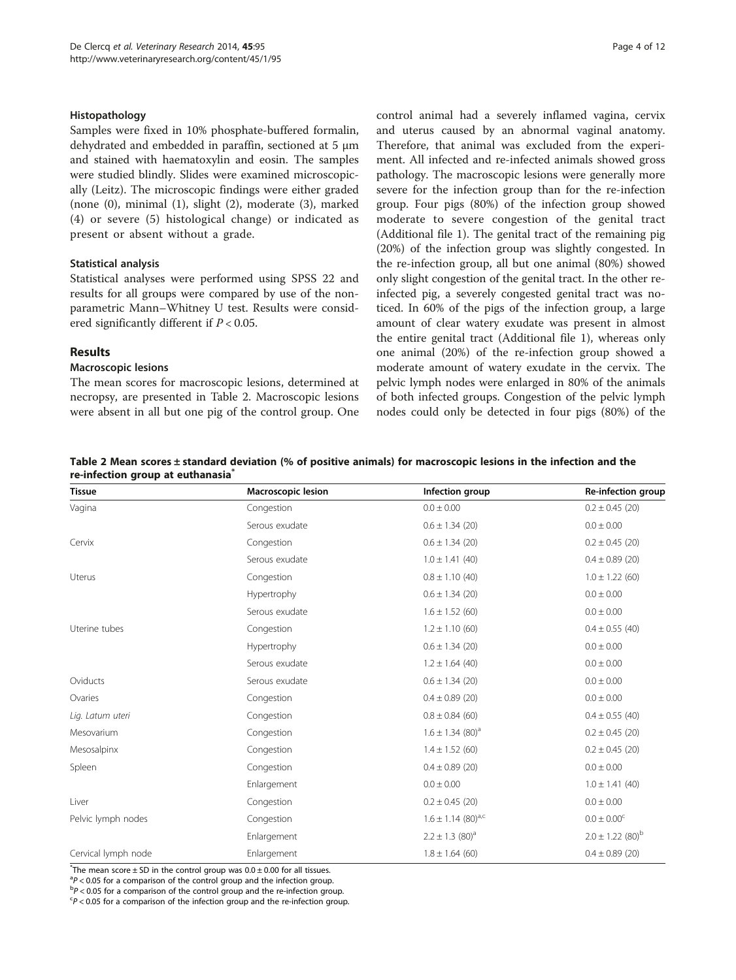#### Histopathology

Samples were fixed in 10% phosphate-buffered formalin, dehydrated and embedded in paraffin, sectioned at 5 μm and stained with haematoxylin and eosin. The samples were studied blindly. Slides were examined microscopically (Leitz). The microscopic findings were either graded (none (0), minimal (1), slight (2), moderate (3), marked (4) or severe (5) histological change) or indicated as present or absent without a grade.

# Statistical analysis

Statistical analyses were performed using SPSS 22 and results for all groups were compared by use of the nonparametric Mann–Whitney U test. Results were considered significantly different if  $P < 0.05$ .

# Results

#### Macroscopic lesions

The mean scores for macroscopic lesions, determined at necropsy, are presented in Table 2. Macroscopic lesions were absent in all but one pig of the control group. One control animal had a severely inflamed vagina, cervix and uterus caused by an abnormal vaginal anatomy. Therefore, that animal was excluded from the experiment. All infected and re-infected animals showed gross pathology. The macroscopic lesions were generally more severe for the infection group than for the re-infection group. Four pigs (80%) of the infection group showed moderate to severe congestion of the genital tract (Additional file [1\)](#page-10-0). The genital tract of the remaining pig (20%) of the infection group was slightly congested. In the re-infection group, all but one animal (80%) showed only slight congestion of the genital tract. In the other reinfected pig, a severely congested genital tract was noticed. In 60% of the pigs of the infection group, a large amount of clear watery exudate was present in almost the entire genital tract (Additional file [1\)](#page-10-0), whereas only one animal (20%) of the re-infection group showed a moderate amount of watery exudate in the cervix. The pelvic lymph nodes were enlarged in 80% of the animals of both infected groups. Congestion of the pelvic lymph nodes could only be detected in four pigs (80%) of the

Table 2 Mean scores ± standard deviation (% of positive animals) for macroscopic lesions in the infection and the re-infection group at euthanasia<sup>\*</sup>

| <b>Tissue</b>       | Macroscopic lesion | Infection group                    | Re-infection group               |
|---------------------|--------------------|------------------------------------|----------------------------------|
| Vagina              | Congestion         | $0.0 \pm 0.00$                     | $0.2 \pm 0.45$ (20)              |
|                     | Serous exudate     | $0.6 \pm 1.34$ (20)                | $0.0 \pm 0.00$                   |
| Cervix              | Congestion         | $0.6 \pm 1.34$ (20)                | $0.2 \pm 0.45$ (20)              |
|                     | Serous exudate     | $1.0 \pm 1.41$ (40)                | $0.4 \pm 0.89$ (20)              |
| Uterus              | Congestion         | $0.8 \pm 1.10$ (40)                | $1.0 \pm 1.22$ (60)              |
|                     | Hypertrophy        | $0.6 \pm 1.34$ (20)                | $0.0 \pm 0.00$                   |
|                     | Serous exudate     | $1.6 \pm 1.52$ (60)                | $0.0 \pm 0.00$                   |
| Uterine tubes       | Congestion         | $1.2 \pm 1.10$ (60)                | $0.4 \pm 0.55$ (40)              |
|                     | Hypertrophy        | $0.6 \pm 1.34$ (20)                | $0.0 \pm 0.00$                   |
|                     | Serous exudate     | $1.2 \pm 1.64$ (40)                | $0.0 \pm 0.00$                   |
| Oviducts            | Serous exudate     | $0.6 \pm 1.34$ (20)                | $0.0 \pm 0.00$                   |
| Ovaries             | Congestion         | $0.4 \pm 0.89$ (20)                | $0.0 \pm 0.00$                   |
| Lig. Latum uteri    | Congestion         | $0.8 \pm 0.84$ (60)                | $0.4 \pm 0.55$ (40)              |
| Mesovarium          | Congestion         | $1.6 \pm 1.34$ (80) <sup>a</sup>   | $0.2 \pm 0.45$ (20)              |
| Mesosalpinx         | Congestion         | $1.4 \pm 1.52$ (60)                | $0.2 \pm 0.45$ (20)              |
| Spleen              | Congestion         | $0.4 \pm 0.89$ (20)                | $0.0 \pm 0.00$                   |
|                     | Enlargement        | $0.0 \pm 0.00$                     | $1.0 \pm 1.41$ (40)              |
| Liver               | Congestion         | $0.2 \pm 0.45$ (20)                | $0.0 \pm 0.00$                   |
| Pelvic lymph nodes  | Congestion         | $1.6 \pm 1.14$ (80) <sup>a,c</sup> | $0.0 \pm 0.00^{\circ}$           |
|                     | Enlargement        | $2.2 \pm 1.3$ (80) <sup>a</sup>    | $2.0 \pm 1.22$ (80) <sup>b</sup> |
| Cervical lymph node | Enlargement        | $1.8 \pm 1.64$ (60)                | $0.4 \pm 0.89$ (20)              |

 $*$ The mean score  $\pm$  SD in the control group was 0.0  $\pm$  0.00 for all tissues.

 ${}^{a}P < 0.05$  for a comparison of the control group and the infection group.<br> ${}^{b}P < 0.05$  for a comparison of the sentrol group and the re-infection group.

 $\rm{^{b}}P$  < 0.05 for a comparison of the control group and the re-infection group.

 $P$  < 0.05 for a comparison of the infection group and the re-infection group.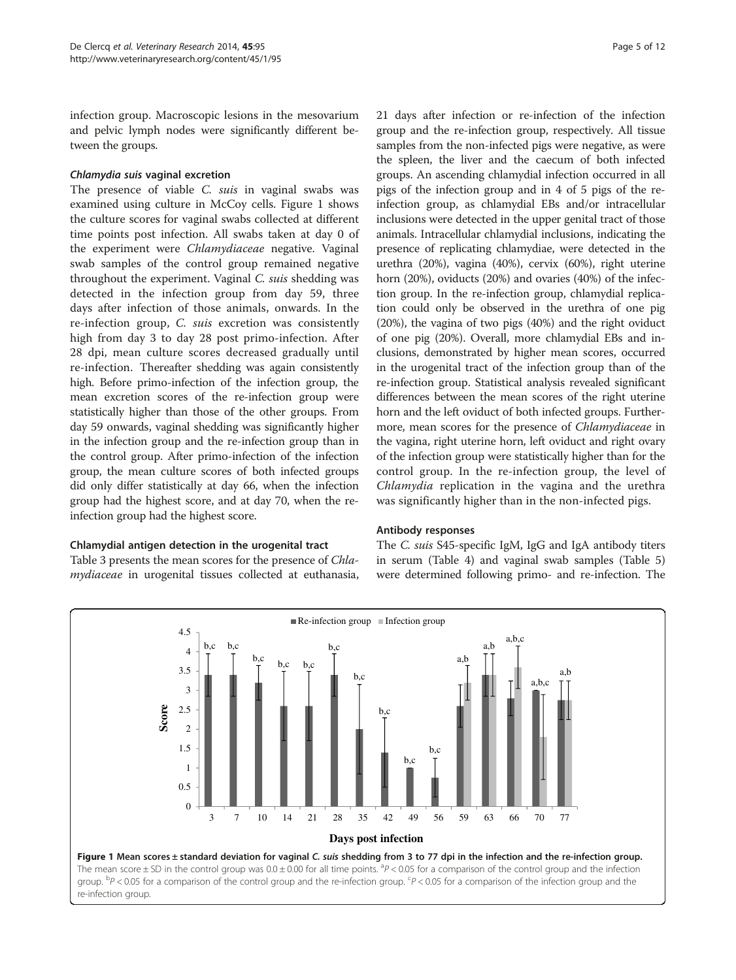infection group. Macroscopic lesions in the mesovarium and pelvic lymph nodes were significantly different between the groups.

# Chlamydia suis vaginal excretion

The presence of viable C. suis in vaginal swabs was examined using culture in McCoy cells. Figure 1 shows the culture scores for vaginal swabs collected at different time points post infection. All swabs taken at day 0 of the experiment were Chlamydiaceae negative. Vaginal swab samples of the control group remained negative throughout the experiment. Vaginal C. suis shedding was detected in the infection group from day 59, three days after infection of those animals, onwards. In the re-infection group, C. suis excretion was consistently high from day 3 to day 28 post primo-infection. After 28 dpi, mean culture scores decreased gradually until re-infection. Thereafter shedding was again consistently high. Before primo-infection of the infection group, the mean excretion scores of the re-infection group were statistically higher than those of the other groups. From day 59 onwards, vaginal shedding was significantly higher in the infection group and the re-infection group than in the control group. After primo-infection of the infection group, the mean culture scores of both infected groups did only differ statistically at day 66, when the infection group had the highest score, and at day 70, when the reinfection group had the highest score.

#### Chlamydial antigen detection in the urogenital tract

Table [3](#page-5-0) presents the mean scores for the presence of Chlamydiaceae in urogenital tissues collected at euthanasia, 21 days after infection or re-infection of the infection group and the re-infection group, respectively. All tissue samples from the non-infected pigs were negative, as were the spleen, the liver and the caecum of both infected groups. An ascending chlamydial infection occurred in all pigs of the infection group and in 4 of 5 pigs of the reinfection group, as chlamydial EBs and/or intracellular inclusions were detected in the upper genital tract of those animals. Intracellular chlamydial inclusions, indicating the presence of replicating chlamydiae, were detected in the urethra (20%), vagina (40%), cervix (60%), right uterine horn (20%), oviducts (20%) and ovaries (40%) of the infection group. In the re-infection group, chlamydial replication could only be observed in the urethra of one pig (20%), the vagina of two pigs (40%) and the right oviduct of one pig (20%). Overall, more chlamydial EBs and inclusions, demonstrated by higher mean scores, occurred in the urogenital tract of the infection group than of the re-infection group. Statistical analysis revealed significant differences between the mean scores of the right uterine horn and the left oviduct of both infected groups. Furthermore, mean scores for the presence of Chlamydiaceae in the vagina, right uterine horn, left oviduct and right ovary of the infection group were statistically higher than for the control group. In the re-infection group, the level of Chlamydia replication in the vagina and the urethra was significantly higher than in the non-infected pigs.

#### Antibody responses

The C. suis S45-specific IgM, IgG and IgA antibody titers in serum (Table [4](#page-5-0)) and vaginal swab samples (Table [5](#page-6-0)) were determined following primo- and re-infection. The

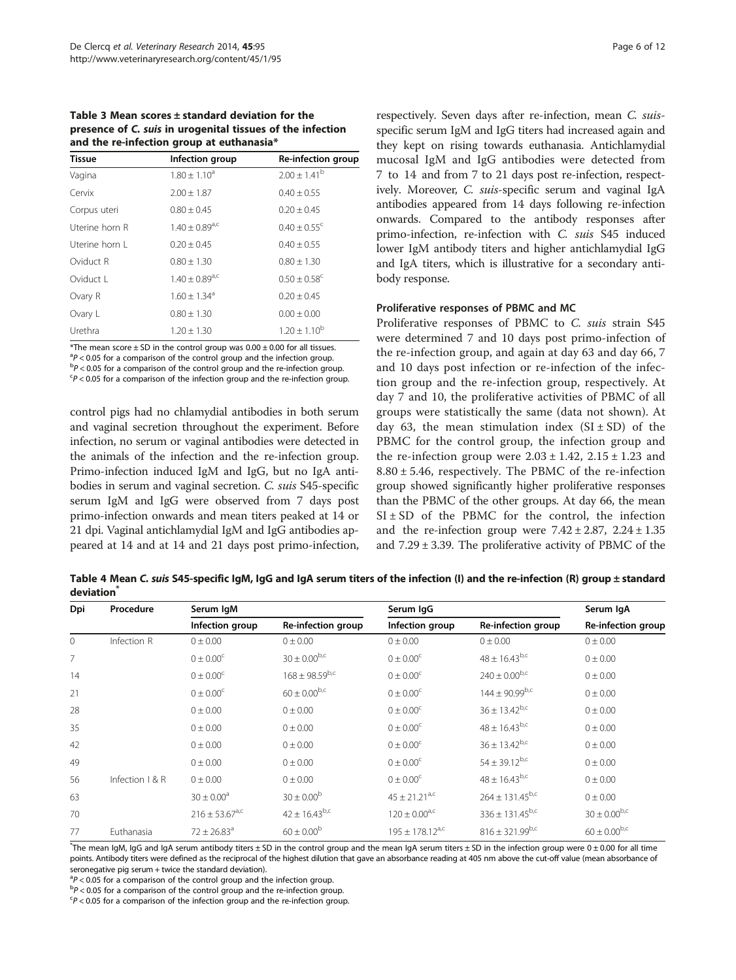<span id="page-5-0"></span>Table 3 Mean scores ± standard deviation for the presence of C. suis in urogenital tissues of the infection and the re-infection group at euthanasia\*

| <b>Tissue</b>  | Infection group                     | Re-infection group           |
|----------------|-------------------------------------|------------------------------|
| Vagina         | $1.80 \pm 1.10^a$                   | $2.00 \pm 1.41^{\rm b}$      |
| Cervix         | $2.00 \pm 1.87$                     | $0.40 \pm 0.55$              |
| Corpus uteri   | $0.80 \pm 0.45$                     | $0.20 \pm 0.45$              |
| Uterine horn R | $1.40 \pm 0.89^{\text{a},\text{c}}$ | $0.40 \pm 0.55$ <sup>c</sup> |
| Uterine horn L | $0.20 \pm 0.45$                     | $0.40 \pm 0.55$              |
| Oviduct R      | $0.80 \pm 1.30$                     | $0.80 \pm 1.30$              |
| Oviduct L      | $1.40 \pm 0.89^{\text{a},\text{c}}$ | $0.50 \pm 0.58$ <sup>c</sup> |
| Ovary R        | $1.60 \pm 1.34^{\circ}$             | $0.20 \pm 0.45$              |
| Ovary L        | $0.80 \pm 1.30$                     | $0.00 \pm 0.00$              |
| Urethra        | $1.20 \pm 1.30$                     | $1.20 \pm 1.10^{b}$          |

\*The mean score  $\pm$  SD in the control group was  $0.00 \pm 0.00$  for all tissues.  ${}^{a}P$  < 0.05 for a comparison of the control group and the infection group.<br> ${}^{b}P$  < 0.05 for a comparison of the control group and the re-infection group.  $P$  < 0.05 for a comparison of the control group and the re-infection group.  $P$  < 0.05 for a comparison of the infection group and the re-infection group.

control pigs had no chlamydial antibodies in both serum and vaginal secretion throughout the experiment. Before infection, no serum or vaginal antibodies were detected in the animals of the infection and the re-infection group. Primo-infection induced IgM and IgG, but no IgA antibodies in serum and vaginal secretion. C. suis S45-specific serum IgM and IgG were observed from 7 days post primo-infection onwards and mean titers peaked at 14 or 21 dpi. Vaginal antichlamydial IgM and IgG antibodies appeared at 14 and at 14 and 21 days post primo-infection,

respectively. Seven days after re-infection, mean C. suisspecific serum IgM and IgG titers had increased again and they kept on rising towards euthanasia. Antichlamydial mucosal IgM and IgG antibodies were detected from 7 to 14 and from 7 to 21 days post re-infection, respectively. Moreover, C. suis-specific serum and vaginal IgA antibodies appeared from 14 days following re-infection onwards. Compared to the antibody responses after primo-infection, re-infection with C. suis S45 induced lower IgM antibody titers and higher antichlamydial IgG and IgA titers, which is illustrative for a secondary antibody response.

# Proliferative responses of PBMC and MC

Proliferative responses of PBMC to C. suis strain S45 were determined 7 and 10 days post primo-infection of the re-infection group, and again at day 63 and day 66, 7 and 10 days post infection or re-infection of the infection group and the re-infection group, respectively. At day 7 and 10, the proliferative activities of PBMC of all groups were statistically the same (data not shown). At day 63, the mean stimulation index  $(SI \pm SD)$  of the PBMC for the control group, the infection group and the re-infection group were  $2.03 \pm 1.42$ ,  $2.15 \pm 1.23$  and  $8.80 \pm 5.46$ , respectively. The PBMC of the re-infection group showed significantly higher proliferative responses than the PBMC of the other groups. At day 66, the mean  $SI \pm SD$  of the PBMC for the control, the infection and the re-infection group were  $7.42 \pm 2.87$ ,  $2.24 \pm 1.35$ and  $7.29 \pm 3.39$ . The proliferative activity of PBMC of the

Table 4 Mean C. suis S45-specific IgM, IgG and IgA serum titers of the infection (I) and the re-infection (R) group ± standard deviation<sup>\*</sup>

| Dpi          | Procedure         | Serum IgM                           |                       | Serum IgG                          |                        | Serum IgA           |
|--------------|-------------------|-------------------------------------|-----------------------|------------------------------------|------------------------|---------------------|
|              |                   | Infection group                     | Re-infection group    | Infection group                    | Re-infection group     | Re-infection group  |
| $\mathbf{0}$ | Infection R       | $0 \pm 0.00$                        | $0 \pm 0.00$          | $0 \pm 0.00$                       | $0 \pm 0.00$           | $0 \pm 0.00$        |
| 7            |                   | $0 \pm 0.00^{\circ}$                | $30 \pm 0.00^{b,c}$   | $0 \pm 0.00^{\circ}$               | $48 \pm 16.43^{b,c}$   | 0 ± 0.00            |
| 14           |                   | $0 \pm 0.00^{\circ}$                | $168 \pm 98.59^{b,c}$ | $0 \pm 0.00^{\circ}$               | $240 \pm 0.00^{b,c}$   | $0 \pm 0.00$        |
| 21           |                   | $0 \pm 0.00^{\circ}$                | $60 \pm 0.00^{b,c}$   | $0 \pm 0.00^{\circ}$               | $144 \pm 90.99^{b,c}$  | $0 \pm 0.00$        |
| 28           |                   | $0 \pm 0.00$                        | 0 ± 0.00              | $0 \pm 0.00^{\circ}$               | $36 \pm 13.42^{b,c}$   | 0 ± 0.00            |
| 35           |                   | 0 ± 0.00                            | 0 ± 0.00              | $0 \pm 0.00^{\circ}$               | $48 \pm 16.43^{b,c}$   | $0 \pm 0.00$        |
| 42           |                   | 0 ± 0.00                            | $0 \pm 0.00$          | $0 \pm 0.00^{\circ}$               | $36 \pm 13.42^{b,c}$   | 0 ± 0.00            |
| 49           |                   | 0 ± 0.00                            | 0 ± 0.00              | $0 \pm 0.00^{\circ}$               | $54 \pm 39.12^{b,c}$   | $0 \pm 0.00$        |
| 56           | Infection $1 & R$ | $0 \pm 0.00$                        | 0 ± 0.00              | $0 \pm 0.00^{\circ}$               | $48 \pm 16.43^{b,c}$   | 0 ± 0.00            |
| 63           |                   | $30 \pm 0.00^a$                     | $30 \pm 0.00^{\rm b}$ | $45 \pm 21.21^{a,c}$               | $264 \pm 131.45^{b,c}$ | $0 \pm 0.00$        |
| 70           |                   | $216 \pm 53.67^{\text{a},\text{c}}$ | $42 \pm 16.43^{b,c}$  | $120 \pm 0.00^{\text{a},\text{c}}$ | $336 \pm 131.45^{b,c}$ | $30 \pm 0.00^{b,c}$ |
| 77           | Euthanasia        | $72 \pm 26.83$ <sup>a</sup>         | $60 \pm 0.00^{\rm b}$ | $195 + 178.12$ <sup>a,c</sup>      | $816 \pm 321.99^{b,c}$ | $60 \pm 0.00^{b,c}$ |

\* The mean IgM, IgG and IgA serum antibody titers ± SD in the control group and the mean IgA serum titers ± SD in the infection group were 0 ± 0.00 for all time points. Antibody titers were defined as the reciprocal of the highest dilution that gave an absorbance reading at 405 nm above the cut-off value (mean absorbance of seronegative pig serum + twice the standard deviation).

 $a^2P < 0.05$  for a comparison of the control group and the infection group.<br>bp < 0.05 for a comparison of the control group and the re-infection group.

 $P$  < 0.05 for a comparison of the control group and the re-infection group.

 $P$  < 0.05 for a comparison of the infection group and the re-infection group.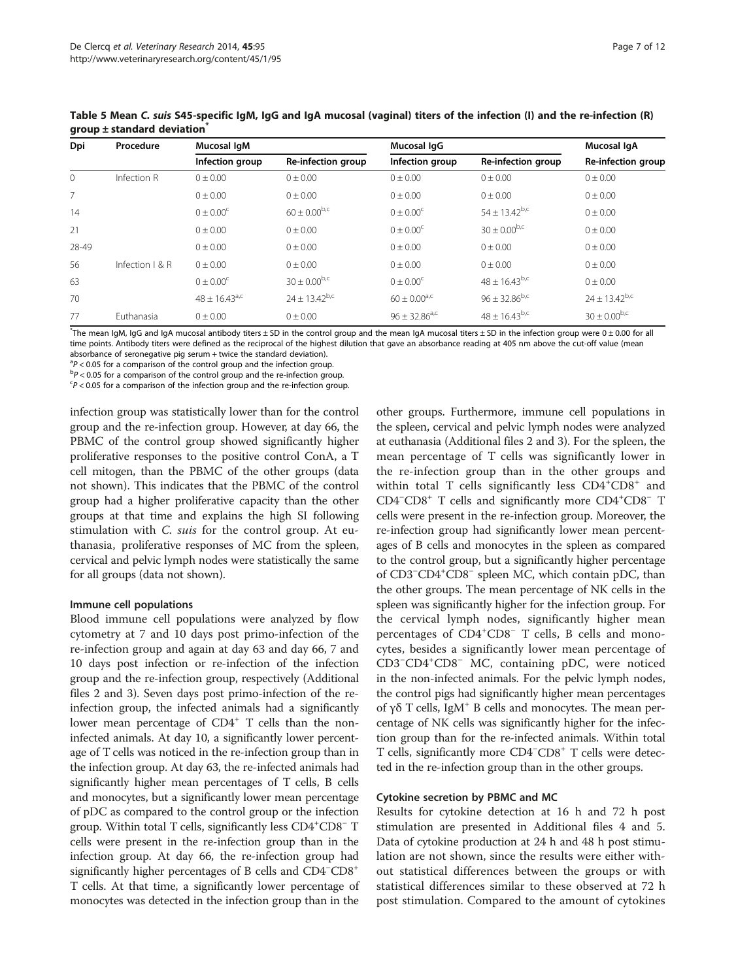| Dpi   | Procedure         | Mucosal IgM        |                          | Mucosal IqG                 |                             | Mucosal IqA          |  |
|-------|-------------------|--------------------|--------------------------|-----------------------------|-----------------------------|----------------------|--|
|       |                   | Infection group    | Re-infection group       | Infection group             | Re-infection group          | Re-infection group   |  |
| 0     | Infection R       | $0 \pm 0.00$       | $0 \pm 0.00$             | $0 \pm 0.00$                | $0 \pm 0.00$                | $0 \pm 0.00$         |  |
| 7     |                   | 0 ± 0.00           | $0 \pm 0.00$             | $0 \pm 0.00$                | $0 \pm 0.00$                | $0 \pm 0.00$         |  |
| 14    |                   | $0 + 0.00^{\circ}$ | $60 \pm 0.00^{b,c}$      | $0 \pm 0.00^{\circ}$        | $54 \pm 13.42^{\text{b,c}}$ | $0 \pm 0.00$         |  |
| 21    |                   | 0 ± 0.00           | $0 \pm 0.00$             | $0 \pm 0.00^{\circ}$        | $30 \pm 0.00^{b,c}$         | $0 \pm 0.00$         |  |
| 28-49 |                   | 0 ± 0.00           | $0 \pm 0.00$             | $0 \pm 0.00$                | 0 ± 0.00                    | $0 \pm 0.00$         |  |
| 56    | Infection $1 & R$ | $0 \pm 0.00$       | $0 \pm 0.00$             | $0 \pm 0.00$                | 0 ± 0.00                    | $0 \pm 0.00$         |  |
| 63    |                   | $0 + 0.00^{\circ}$ | $30 \pm 0.00^{b,c}$      | $0 \pm 0.00^{\circ}$        | $48 \pm 16.43^{b,c}$        | $0 \pm 0.00$         |  |
| 70    |                   | $48 + 16.43^{a,c}$ | $24 \pm 13.42^{\rm b,c}$ | $60 \pm 0.00^{\rm a,c}$     | $96 \pm 32.86^{b,c}$        | $24 \pm 13.42^{b,c}$ |  |
| 77    | Euthanasia        | 0 ± 0.00           | $0 \pm 0.00$             | $96 \pm 32.86^{\text{a,c}}$ | $48 \pm 16.43^{b,c}$        | $30 \pm 0.00^{b,c}$  |  |

<span id="page-6-0"></span>Table 5 Mean C. suis S45-specific IgM, IgG and IgA mucosal (vaginal) titers of the infection (I) and the re-infection (R) group  $\pm$  standard deviation<sup>\*</sup>

\* The mean IgM, IgG and IgA mucosal antibody titers ± SD in the control group and the mean IgA mucosal titers ± SD in the infection group were 0 ± 0.00 for all time points. Antibody titers were defined as the reciprocal of the highest dilution that gave an absorbance reading at 405 nm above the cut-off value (mean absorbance of seronegative pig serum + twice the standard deviation).

 $a^2P < 0.05$  for a comparison of the control group and the infection group.<br>bp < 0.05 for a comparison of the control group and the re-infection group.  $\rm{^{b}}P$  < 0.05 for a comparison of the control group and the re-infection group.

 $P$  < 0.05 for a comparison of the infection group and the re-infection group.

infection group was statistically lower than for the control group and the re-infection group. However, at day 66, the PBMC of the control group showed significantly higher proliferative responses to the positive control ConA, a T cell mitogen, than the PBMC of the other groups (data not shown). This indicates that the PBMC of the control group had a higher proliferative capacity than the other groups at that time and explains the high SI following stimulation with C. suis for the control group. At euthanasia, proliferative responses of MC from the spleen, cervical and pelvic lymph nodes were statistically the same for all groups (data not shown).

# Immune cell populations

Blood immune cell populations were analyzed by flow cytometry at 7 and 10 days post primo-infection of the re-infection group and again at day 63 and day 66, 7 and 10 days post infection or re-infection of the infection group and the re-infection group, respectively (Additional files [2](#page-10-0) and [3\)](#page-10-0). Seven days post primo-infection of the reinfection group, the infected animals had a significantly lower mean percentage of CD4<sup>+</sup> T cells than the noninfected animals. At day 10, a significantly lower percentage of T cells was noticed in the re-infection group than in the infection group. At day 63, the re-infected animals had significantly higher mean percentages of T cells, B cells and monocytes, but a significantly lower mean percentage of pDC as compared to the control group or the infection group. Within total T cells, significantly less CD4<sup>+</sup>CD8<sup>-</sup> T cells were present in the re-infection group than in the infection group. At day 66, the re-infection group had significantly higher percentages of B cells and CD4<sup>-</sup>CD8<sup>+</sup> T cells. At that time, a significantly lower percentage of monocytes was detected in the infection group than in the other groups. Furthermore, immune cell populations in the spleen, cervical and pelvic lymph nodes were analyzed at euthanasia (Additional files [2](#page-10-0) and [3](#page-10-0)). For the spleen, the mean percentage of T cells was significantly lower in the re-infection group than in the other groups and within total T cells significantly less CD4<sup>+</sup>CD8<sup>+</sup> and CD4<sup>-</sup>CD8<sup>+</sup> T cells and significantly more CD4<sup>+</sup>CD8<sup>-</sup> T cells were present in the re-infection group. Moreover, the re-infection group had significantly lower mean percentages of B cells and monocytes in the spleen as compared to the control group, but a significantly higher percentage of CD3<sup>−</sup> CD4+ CD8<sup>−</sup> spleen MC, which contain pDC, than the other groups. The mean percentage of NK cells in the spleen was significantly higher for the infection group. For the cervical lymph nodes, significantly higher mean percentages of CD4<sup>+</sup>CD8<sup>-</sup> T cells, B cells and monocytes, besides a significantly lower mean percentage of CD3<sup>−</sup> CD4<sup>+</sup> CD8<sup>−</sup> MC, containing pDC, were noticed in the non-infected animals. For the pelvic lymph nodes, the control pigs had significantly higher mean percentages of γδ T cells, IgM+ B cells and monocytes. The mean percentage of NK cells was significantly higher for the infection group than for the re-infected animals. Within total T cells, significantly more CD4<sup>-</sup>CD8<sup>+</sup> T cells were detected in the re-infection group than in the other groups.

# Cytokine secretion by PBMC and MC

Results for cytokine detection at 16 h and 72 h post stimulation are presented in Additional files [4](#page-10-0) and [5](#page-10-0). Data of cytokine production at 24 h and 48 h post stimulation are not shown, since the results were either without statistical differences between the groups or with statistical differences similar to these observed at 72 h post stimulation. Compared to the amount of cytokines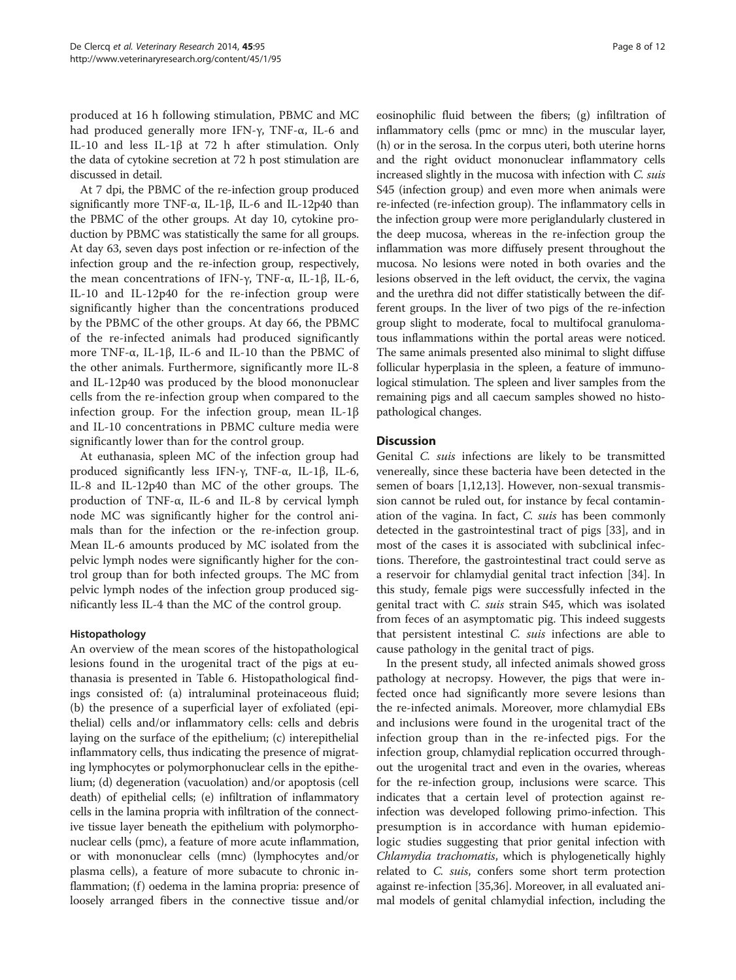produced at 16 h following stimulation, PBMC and MC had produced generally more IFN-γ, TNF-α, IL-6 and IL-10 and less IL-1β at 72 h after stimulation. Only the data of cytokine secretion at 72 h post stimulation are discussed in detail.

At 7 dpi, the PBMC of the re-infection group produced significantly more TNF- $\alpha$ , IL-1β, IL-6 and IL-12p40 than the PBMC of the other groups. At day 10, cytokine production by PBMC was statistically the same for all groups. At day 63, seven days post infection or re-infection of the infection group and the re-infection group, respectively, the mean concentrations of IFN-γ, TNF-α, IL-1β, IL-6, IL-10 and IL-12p40 for the re-infection group were significantly higher than the concentrations produced by the PBMC of the other groups. At day 66, the PBMC of the re-infected animals had produced significantly more TNF-α, IL-1β, IL-6 and IL-10 than the PBMC of the other animals. Furthermore, significantly more IL-8 and IL-12p40 was produced by the blood mononuclear cells from the re-infection group when compared to the infection group. For the infection group, mean IL-1β and IL-10 concentrations in PBMC culture media were significantly lower than for the control group.

At euthanasia, spleen MC of the infection group had produced significantly less IFN-γ, TNF-α, IL-1β, IL-6, IL-8 and IL-12p40 than MC of the other groups. The production of TNF-α, IL-6 and IL-8 by cervical lymph node MC was significantly higher for the control animals than for the infection or the re-infection group. Mean IL-6 amounts produced by MC isolated from the pelvic lymph nodes were significantly higher for the control group than for both infected groups. The MC from pelvic lymph nodes of the infection group produced significantly less IL-4 than the MC of the control group.

# Histopathology

An overview of the mean scores of the histopathological lesions found in the urogenital tract of the pigs at euthanasia is presented in Table [6.](#page-8-0) Histopathological findings consisted of: (a) intraluminal proteinaceous fluid; (b) the presence of a superficial layer of exfoliated (epithelial) cells and/or inflammatory cells: cells and debris laying on the surface of the epithelium; (c) interepithelial inflammatory cells, thus indicating the presence of migrating lymphocytes or polymorphonuclear cells in the epithelium; (d) degeneration (vacuolation) and/or apoptosis (cell death) of epithelial cells; (e) infiltration of inflammatory cells in the lamina propria with infiltration of the connective tissue layer beneath the epithelium with polymorphonuclear cells (pmc), a feature of more acute inflammation, or with mononuclear cells (mnc) (lymphocytes and/or plasma cells), a feature of more subacute to chronic inflammation; (f) oedema in the lamina propria: presence of loosely arranged fibers in the connective tissue and/or

eosinophilic fluid between the fibers; (g) infiltration of inflammatory cells (pmc or mnc) in the muscular layer, (h) or in the serosa. In the corpus uteri, both uterine horns and the right oviduct mononuclear inflammatory cells increased slightly in the mucosa with infection with C. suis S45 (infection group) and even more when animals were re-infected (re-infection group). The inflammatory cells in the infection group were more periglandularly clustered in the deep mucosa, whereas in the re-infection group the inflammation was more diffusely present throughout the mucosa. No lesions were noted in both ovaries and the lesions observed in the left oviduct, the cervix, the vagina and the urethra did not differ statistically between the different groups. In the liver of two pigs of the re-infection group slight to moderate, focal to multifocal granulomatous inflammations within the portal areas were noticed. The same animals presented also minimal to slight diffuse follicular hyperplasia in the spleen, a feature of immunological stimulation. The spleen and liver samples from the remaining pigs and all caecum samples showed no histopathological changes.

# **Discussion**

Genital C. suis infections are likely to be transmitted venereally, since these bacteria have been detected in the semen of boars [[1,12,](#page-10-0)[13\]](#page-11-0). However, non-sexual transmission cannot be ruled out, for instance by fecal contamination of the vagina. In fact, C. suis has been commonly detected in the gastrointestinal tract of pigs [\[33](#page-11-0)], and in most of the cases it is associated with subclinical infections. Therefore, the gastrointestinal tract could serve as a reservoir for chlamydial genital tract infection [\[34\]](#page-11-0). In this study, female pigs were successfully infected in the genital tract with C. suis strain S45, which was isolated from feces of an asymptomatic pig. This indeed suggests that persistent intestinal C. suis infections are able to cause pathology in the genital tract of pigs.

In the present study, all infected animals showed gross pathology at necropsy. However, the pigs that were infected once had significantly more severe lesions than the re-infected animals. Moreover, more chlamydial EBs and inclusions were found in the urogenital tract of the infection group than in the re-infected pigs. For the infection group, chlamydial replication occurred throughout the urogenital tract and even in the ovaries, whereas for the re-infection group, inclusions were scarce. This indicates that a certain level of protection against reinfection was developed following primo-infection. This presumption is in accordance with human epidemiologic studies suggesting that prior genital infection with Chlamydia trachomatis, which is phylogenetically highly related to C. suis, confers some short term protection against re-infection [[35,36\]](#page-11-0). Moreover, in all evaluated animal models of genital chlamydial infection, including the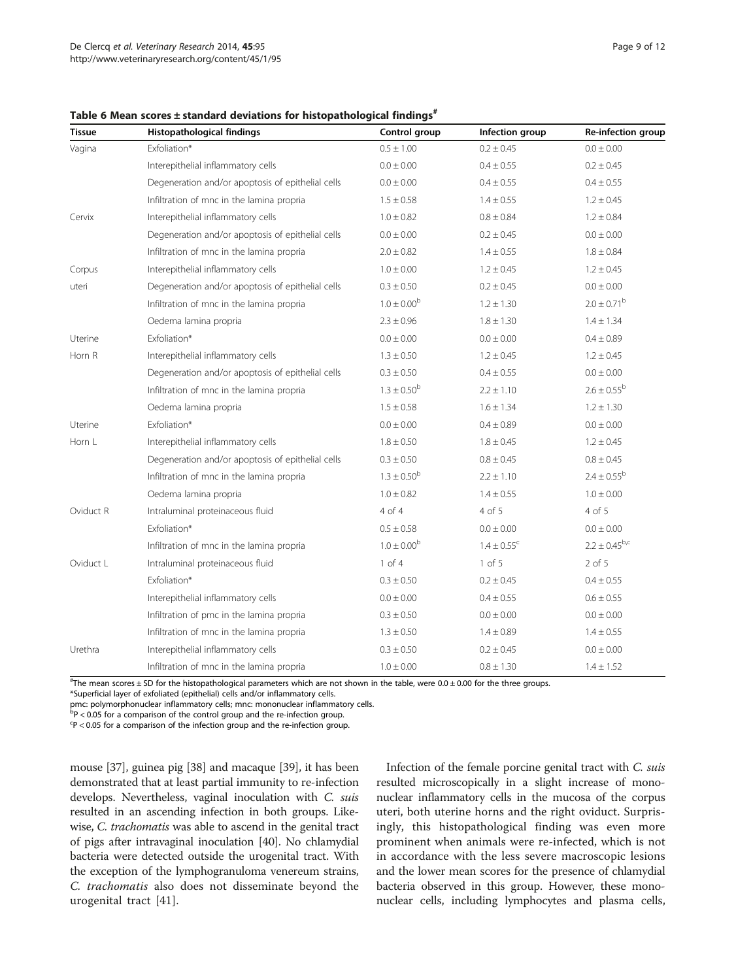<span id="page-8-0"></span>Table 6 Mean scores  $\pm$  standard deviations for histopathological findings<sup>#</sup>

| <b>Tissue</b> | Histopathological findings                        | Control group          | Infection group             | Re-infection group     |
|---------------|---------------------------------------------------|------------------------|-----------------------------|------------------------|
| Vagina        | Exfoliation*                                      | $0.5 \pm 1.00$         | $0.2 \pm 0.45$              | $0.0 \pm 0.00$         |
|               | Interepithelial inflammatory cells                | $0.0 \pm 0.00$         | $0.4 \pm 0.55$              | $0.2 \pm 0.45$         |
|               | Degeneration and/or apoptosis of epithelial cells | $0.0 \pm 0.00$         | $0.4 \pm 0.55$              | $0.4 \pm 0.55$         |
|               | Infiltration of mnc in the lamina propria         | $1.5 \pm 0.58$         | $1.4 \pm 0.55$              | $1.2 \pm 0.45$         |
| Cervix        | Interepithelial inflammatory cells                | $1.0 \pm 0.82$         | $0.8 \pm 0.84$              | $1.2 \pm 0.84$         |
|               | Degeneration and/or apoptosis of epithelial cells | $0.0 \pm 0.00$         | $0.2 \pm 0.45$              | $0.0 \pm 0.00$         |
|               | Infiltration of mnc in the lamina propria         | $2.0 \pm 0.82$         | $1.4 \pm 0.55$              | $1.8 \pm 0.84$         |
| Corpus        | Interepithelial inflammatory cells                | $1.0 \pm 0.00$         | $1.2 \pm 0.45$              | $1.2 \pm 0.45$         |
| uteri         | Degeneration and/or apoptosis of epithelial cells | $0.3 \pm 0.50$         | $0.2 \pm 0.45$              | $0.0 \pm 0.00$         |
|               | Infiltration of mnc in the lamina propria         | $1.0 \pm 0.00^{b}$     | $1.2 \pm 1.30$              | $2.0 \pm 0.71^{\rm b}$ |
|               | Oedema lamina propria                             | $2.3 \pm 0.96$         | $1.8 \pm 1.30$              | $1.4 \pm 1.34$         |
| Uterine       | Exfoliation*                                      | $0.0 \pm 0.00$         | $0.0 \pm 0.00$              | $0.4 \pm 0.89$         |
| Horn R        | Interepithelial inflammatory cells                | $1.3 \pm 0.50$         | $1.2 \pm 0.45$              | $1.2 \pm 0.45$         |
|               | Degeneration and/or apoptosis of epithelial cells | $0.3 \pm 0.50$         | $0.4 \pm 0.55$              | $0.0 \pm 0.00$         |
|               | Infiltration of mnc in the lamina propria         | $1.3 \pm 0.50^{\rm b}$ | $2.2 \pm 1.10$              | $2.6 \pm 0.55^{\rm b}$ |
|               | Oedema lamina propria                             | $1.5 \pm 0.58$         | $1.6 \pm 1.34$              | $1.2 \pm 1.30$         |
| Uterine       | Exfoliation*                                      | $0.0 \pm 0.00$         | $0.4 \pm 0.89$              | $0.0 \pm 0.00$         |
| Horn L        | Interepithelial inflammatory cells                | $1.8 \pm 0.50$         | $1.8 \pm 0.45$              | $1.2 \pm 0.45$         |
|               | Degeneration and/or apoptosis of epithelial cells | $0.3 \pm 0.50$         | $0.8 \pm 0.45$              | $0.8 \pm 0.45$         |
|               | Infiltration of mnc in the lamina propria         | $1.3 \pm 0.50^{\rm b}$ | $2.2 \pm 1.10$              | $2.4 \pm 0.55^{\rm b}$ |
|               | Oedema lamina propria                             | $1.0 \pm 0.82$         | $1.4 \pm 0.55$              | $1.0 \pm 0.00$         |
| Oviduct R     | Intraluminal proteinaceous fluid                  | 4 of 4                 | 4 of 5                      | 4 of 5                 |
|               | Exfoliation*                                      | $0.5 \pm 0.58$         | $0.0 \pm 0.00$              | $0.0 \pm 0.00$         |
|               | Infiltration of mnc in the lamina propria         | $1.0 \pm 0.00^{\rm b}$ | $1.4 \pm 0.55$ <sup>c</sup> | $2.2 \pm 0.45^{b,c}$   |
| Oviduct L     | Intraluminal proteinaceous fluid                  | $1$ of $4$             | 1 of 5                      | $2$ of $5$             |
|               | Exfoliation*                                      | $0.3 \pm 0.50$         | $0.2 \pm 0.45$              | $0.4 \pm 0.55$         |
|               | Interepithelial inflammatory cells                | $0.0 \pm 0.00$         | $0.4 \pm 0.55$              | $0.6 \pm 0.55$         |
|               | Infiltration of pmc in the lamina propria         | $0.3 \pm 0.50$         | $0.0 \pm 0.00$              | $0.0 \pm 0.00$         |
|               | Infiltration of mnc in the lamina propria         | $1.3 \pm 0.50$         | $1.4 \pm 0.89$              | $1.4 \pm 0.55$         |
| Urethra       | Interepithelial inflammatory cells                | $0.3 \pm 0.50$         | $0.2 \pm 0.45$              | $0.0 \pm 0.00$         |
|               | Infiltration of mnc in the lamina propria         | $1.0 \pm 0.00$         | $0.8 \pm 1.30$              | $1.4 \pm 1.52$         |

# The mean scores ± SD for the histopathological parameters which are not shown in the table, were 0.0 ± 0.00 for the three groups. \*Superficial layer of exfoliated (epithelial) cells and/or inflammatory cells.

pmc: polymorphonuclear inflammatory cells; mnc: mononuclear inflammatory cells.

 $\overline{P}P$  < 0.05 for a comparison of the control group and the re-infection group.

 $\text{c}_P$  < 0.05 for a comparison of the infection group and the re-infection group.

mouse [\[37\]](#page-11-0), guinea pig [\[38\]](#page-11-0) and macaque [\[39\]](#page-11-0), it has been demonstrated that at least partial immunity to re-infection develops. Nevertheless, vaginal inoculation with C. suis resulted in an ascending infection in both groups. Likewise, C. trachomatis was able to ascend in the genital tract of pigs after intravaginal inoculation [\[40](#page-11-0)]. No chlamydial bacteria were detected outside the urogenital tract. With the exception of the lymphogranuloma venereum strains, C. trachomatis also does not disseminate beyond the urogenital tract [\[41](#page-11-0)].

Infection of the female porcine genital tract with C. suis resulted microscopically in a slight increase of mononuclear inflammatory cells in the mucosa of the corpus uteri, both uterine horns and the right oviduct. Surprisingly, this histopathological finding was even more prominent when animals were re-infected, which is not in accordance with the less severe macroscopic lesions and the lower mean scores for the presence of chlamydial bacteria observed in this group. However, these mononuclear cells, including lymphocytes and plasma cells,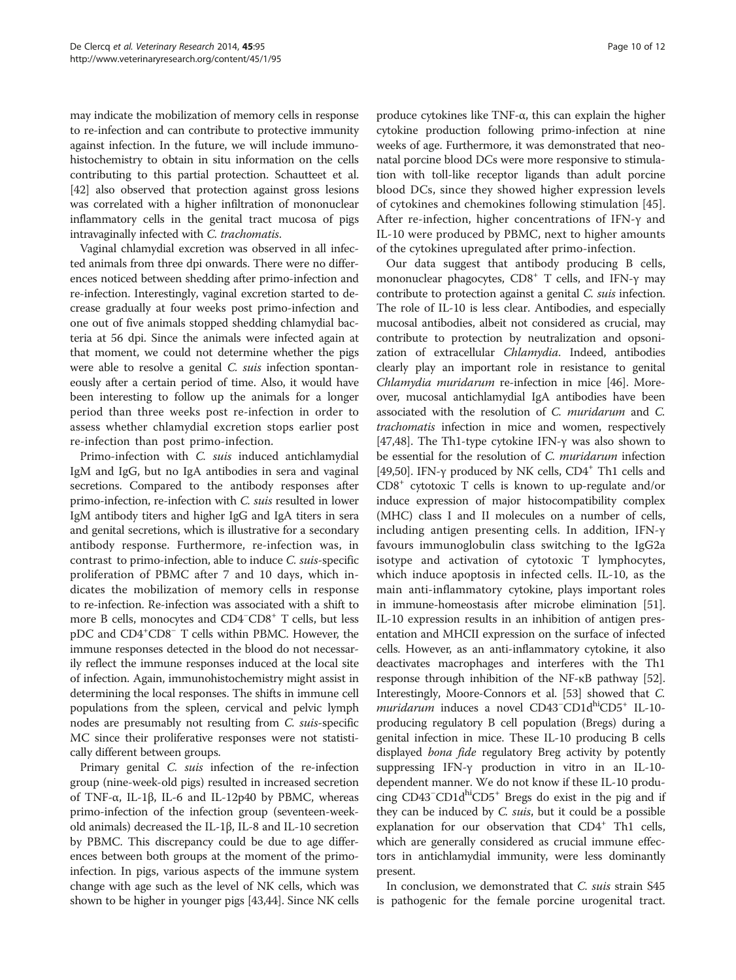may indicate the mobilization of memory cells in response to re-infection and can contribute to protective immunity against infection. In the future, we will include immunohistochemistry to obtain in situ information on the cells contributing to this partial protection. Schautteet et al. [[42](#page-11-0)] also observed that protection against gross lesions was correlated with a higher infiltration of mononuclear inflammatory cells in the genital tract mucosa of pigs intravaginally infected with C. trachomatis.

Vaginal chlamydial excretion was observed in all infected animals from three dpi onwards. There were no differences noticed between shedding after primo-infection and re-infection. Interestingly, vaginal excretion started to decrease gradually at four weeks post primo-infection and one out of five animals stopped shedding chlamydial bacteria at 56 dpi. Since the animals were infected again at that moment, we could not determine whether the pigs were able to resolve a genital C. suis infection spontaneously after a certain period of time. Also, it would have been interesting to follow up the animals for a longer period than three weeks post re-infection in order to assess whether chlamydial excretion stops earlier post re-infection than post primo-infection.

Primo-infection with C. suis induced antichlamydial IgM and IgG, but no IgA antibodies in sera and vaginal secretions. Compared to the antibody responses after primo-infection, re-infection with C. suis resulted in lower IgM antibody titers and higher IgG and IgA titers in sera and genital secretions, which is illustrative for a secondary antibody response. Furthermore, re-infection was, in contrast to primo-infection, able to induce C. suis-specific proliferation of PBMC after 7 and 10 days, which indicates the mobilization of memory cells in response to re-infection. Re-infection was associated with a shift to more B cells, monocytes and CD4<sup>-</sup>CD8<sup>+</sup> T cells, but less pDC and CD4+ CD8<sup>−</sup> T cells within PBMC. However, the immune responses detected in the blood do not necessarily reflect the immune responses induced at the local site of infection. Again, immunohistochemistry might assist in determining the local responses. The shifts in immune cell populations from the spleen, cervical and pelvic lymph nodes are presumably not resulting from C. suis-specific MC since their proliferative responses were not statistically different between groups.

Primary genital *C. suis* infection of the re-infection group (nine-week-old pigs) resulted in increased secretion of TNF-α, IL-1β, IL-6 and IL-12p40 by PBMC, whereas primo-infection of the infection group (seventeen-weekold animals) decreased the IL-1β, IL-8 and IL-10 secretion by PBMC. This discrepancy could be due to age differences between both groups at the moment of the primoinfection. In pigs, various aspects of the immune system change with age such as the level of NK cells, which was shown to be higher in younger pigs [[43,44\]](#page-11-0). Since NK cells

produce cytokines like TNF-α, this can explain the higher cytokine production following primo-infection at nine weeks of age. Furthermore, it was demonstrated that neonatal porcine blood DCs were more responsive to stimulation with toll-like receptor ligands than adult porcine blood DCs, since they showed higher expression levels of cytokines and chemokines following stimulation [\[45](#page-11-0)]. After re-infection, higher concentrations of IFN-γ and IL-10 were produced by PBMC, next to higher amounts of the cytokines upregulated after primo-infection.

Our data suggest that antibody producing B cells, mononuclear phagocytes, CD8<sup>+</sup> T cells, and IFN-γ may contribute to protection against a genital C. suis infection. The role of IL-10 is less clear. Antibodies, and especially mucosal antibodies, albeit not considered as crucial, may contribute to protection by neutralization and opsonization of extracellular Chlamydia. Indeed, antibodies clearly play an important role in resistance to genital Chlamydia muridarum re-infection in mice [\[46\]](#page-11-0). Moreover, mucosal antichlamydial IgA antibodies have been associated with the resolution of C. muridarum and C. trachomatis infection in mice and women, respectively [[47](#page-11-0),[48](#page-11-0)]. The Th1-type cytokine IFN-γ was also shown to be essential for the resolution of C. muridarum infection [[49](#page-11-0),[50](#page-11-0)]. IFN-γ produced by NK cells, CD4+ Th1 cells and CD8+ cytotoxic T cells is known to up-regulate and/or induce expression of major histocompatibility complex (MHC) class I and II molecules on a number of cells, including antigen presenting cells. In addition, IFN-γ favours immunoglobulin class switching to the IgG2a isotype and activation of cytotoxic T lymphocytes, which induce apoptosis in infected cells. IL-10, as the main anti-inflammatory cytokine, plays important roles in immune-homeostasis after microbe elimination [[51](#page-11-0)]. IL-10 expression results in an inhibition of antigen presentation and MHCII expression on the surface of infected cells. However, as an anti-inflammatory cytokine, it also deactivates macrophages and interferes with the Th1 response through inhibition of the NF-κB pathway [[52](#page-11-0)]. Interestingly, Moore-Connors et al. [\[53\]](#page-11-0) showed that C. muridarum induces a novel CD43<sup>-</sup>CD1d<sup>hi</sup>CD5<sup>+</sup> IL-10producing regulatory B cell population (Bregs) during a genital infection in mice. These IL-10 producing B cells displayed bona fide regulatory Breg activity by potently suppressing IFN-γ production in vitro in an IL-10 dependent manner. We do not know if these IL-10 producing CD43<sup>-</sup>CD1d<sup>hi</sup>CD5<sup>+</sup> Bregs do exist in the pig and if they can be induced by *C. suis*, but it could be a possible explanation for our observation that  $CD4^+$  Th1 cells, which are generally considered as crucial immune effectors in antichlamydial immunity, were less dominantly present.

In conclusion, we demonstrated that C. suis strain S45 is pathogenic for the female porcine urogenital tract.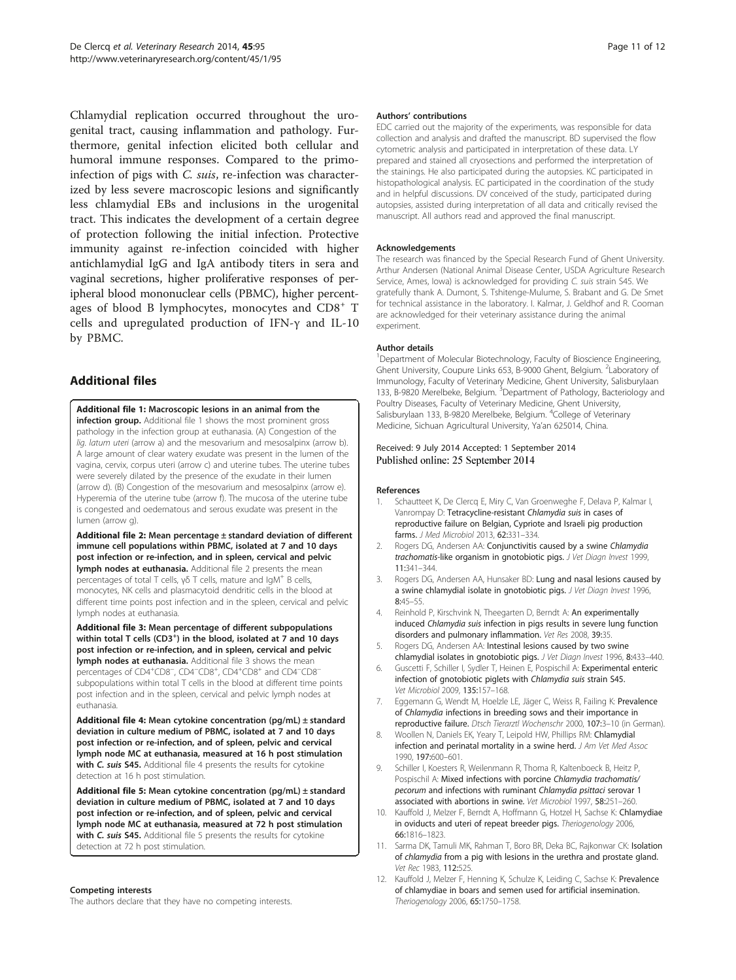<span id="page-10-0"></span>Chlamydial replication occurred throughout the urogenital tract, causing inflammation and pathology. Furthermore, genital infection elicited both cellular and humoral immune responses. Compared to the primoinfection of pigs with C. suis, re-infection was characterized by less severe macroscopic lesions and significantly less chlamydial EBs and inclusions in the urogenital tract. This indicates the development of a certain degree of protection following the initial infection. Protective immunity against re-infection coincided with higher antichlamydial IgG and IgA antibody titers in sera and vaginal secretions, higher proliferative responses of peripheral blood mononuclear cells (PBMC), higher percentages of blood B lymphocytes, monocytes and CD8<sup>+</sup> T cells and upregulated production of IFN-γ and IL-10 by PBMC.

# Additional files

[Additional file 1:](http://www.veterinaryresearch.org/content/supplementary/s13567-014-0095-6-s1.docx) Macroscopic lesions in an animal from the infection group. Additional file 1 shows the most prominent gross pathology in the infection group at euthanasia. (A) Congestion of the lig. latum uteri (arrow a) and the mesovarium and mesosalpinx (arrow b). A large amount of clear watery exudate was present in the lumen of the vagina, cervix, corpus uteri (arrow c) and uterine tubes. The uterine tubes were severely dilated by the presence of the exudate in their lumen (arrow d). (B) Congestion of the mesovarium and mesosalpinx (arrow e). Hyperemia of the uterine tube (arrow f). The mucosa of the uterine tube is congested and oedematous and serous exudate was present in the lumen (arrow g).

[Additional file 2:](http://www.veterinaryresearch.org/content/supplementary/s13567-014-0095-6-s2.docx) Mean percentage ± standard deviation of different immune cell populations within PBMC, isolated at 7 and 10 days post infection or re-infection, and in spleen, cervical and pelvic lymph nodes at euthanasia. Additional file 2 presents the mean percentages of total T cells, γδ T cells, mature and IgM<sup>+</sup> B cells, monocytes, NK cells and plasmacytoid dendritic cells in the blood at different time points post infection and in the spleen, cervical and pelvic lymph nodes at euthanasia.

[Additional file 3:](http://www.veterinaryresearch.org/content/supplementary/s13567-014-0095-6-s3.docx) Mean percentage of different subpopulations within total T cells  $(CD3^+)$  in the blood, isolated at 7 and 10 days post infection or re-infection, and in spleen, cervical and pelvic lymph nodes at euthanasia. Additional file 3 shows the mean percentages of CD4<sup>+</sup>CD8<sup>-</sup>, CD4<sup>-</sup>CD8<sup>+</sup>, CD4<sup>+</sup>CD8<sup>+</sup> and CD4<sup>-</sup>CD8<sup>-</sup> subpopulations within total T cells in the blood at different time points post infection and in the spleen, cervical and pelvic lymph nodes at euthanasia.

[Additional file 4:](http://www.veterinaryresearch.org/content/supplementary/s13567-014-0095-6-s4.docx) Mean cytokine concentration (pg/mL)  $\pm$  standard deviation in culture medium of PBMC, isolated at 7 and 10 days post infection or re-infection, and of spleen, pelvic and cervical lymph node MC at euthanasia, measured at 16 h post stimulation with C. suis S45. Additional file 4 presents the results for cytokine detection at 16 h post stimulation.

[Additional file 5:](http://www.veterinaryresearch.org/content/supplementary/s13567-014-0095-6-s5.docx) Mean cytokine concentration  $(pq/mL)$  ± standard deviation in culture medium of PBMC, isolated at 7 and 10 days post infection or re-infection, and of spleen, pelvic and cervical lymph node MC at euthanasia, measured at 72 h post stimulation with C. suis S45. Additional file 5 presents the results for cytokine detection at 72 h post stimulation.

#### Competing interests

The authors declare that they have no competing interests.

#### Authors' contributions

EDC carried out the majority of the experiments, was responsible for data collection and analysis and drafted the manuscript. BD supervised the flow cytometric analysis and participated in interpretation of these data. LY prepared and stained all cryosections and performed the interpretation of the stainings. He also participated during the autopsies. KC participated in histopathological analysis. EC participated in the coordination of the study and in helpful discussions. DV conceived of the study, participated during autopsies, assisted during interpretation of all data and critically revised the manuscript. All authors read and approved the final manuscript.

#### Acknowledgements

The research was financed by the Special Research Fund of Ghent University. Arthur Andersen (National Animal Disease Center, USDA Agriculture Research Service, Ames, Iowa) is acknowledged for providing C. suis strain S45. We gratefully thank A. Dumont, S. Tshitenge-Mulume, S. Brabant and G. De Smet for technical assistance in the laboratory. I. Kalmar, J. Geldhof and R. Cooman are acknowledged for their veterinary assistance during the animal experiment.

#### Author details

<sup>1</sup>Department of Molecular Biotechnology, Faculty of Bioscience Engineering, Ghent University, Coupure Links 653, B-9000 Ghent, Belgium. <sup>2</sup>Laboratory of Immunology, Faculty of Veterinary Medicine, Ghent University, Salisburylaan 133, B-9820 Merelbeke, Belgium. <sup>3</sup> Department of Pathology, Bacteriology and Poultry Diseases, Faculty of Veterinary Medicine, Ghent University, Salisburylaan 133, B-9820 Merelbeke, Belgium. <sup>4</sup>College of Veterinary Medicine, Sichuan Agricultural University, Ya'an 625014, China.

Received: 9 July 2014 Accepted: 1 September 2014 Published online: 25 September 2014

#### References

- 1. Schautteet K, De Clercq E, Miry C, Van Groenweghe F, Delava P, Kalmar I, Vanrompay D: Tetracycline-resistant Chlamydia suis in cases of reproductive failure on Belgian, Cypriote and Israeli pig production farms. J Med Microbiol 2013, 62:331–334.
- Rogers DG, Andersen AA: Conjunctivitis caused by a swine Chlamydia trachomatis-like organism in gnotobiotic pigs. J Vet Diagn Invest 1999, 11:341–344.
- 3. Rogers DG, Andersen AA, Hunsaker BD: Lung and nasal lesions caused by a swine chlamydial isolate in gnotobiotic pigs. J Vet Diagn Invest 1996, 8:45–55.
- 4. Reinhold P, Kirschvink N, Theegarten D, Berndt A: An experimentally induced Chlamydia suis infection in pigs results in severe lung function disorders and pulmonary inflammation. Vet Res 2008, 39:35.
- 5. Rogers DG, Andersen AA: Intestinal lesions caused by two swine chlamydial isolates in gnotobiotic pigs. J Vet Diagn Invest 1996, 8:433–440.
- 6. Guscetti F, Schiller I, Sydler T, Heinen E, Pospischil A: Experimental enteric infection of gnotobiotic piglets with Chlamydia suis strain S45. Vet Microbiol 2009, 135:157–168.
- 7. Eggemann G, Wendt M, Hoelzle LE, Jäger C, Weiss R, Failing K: Prevalence of Chlamydia infections in breeding sows and their importance in reproductive failure. Dtsch Tierarztl Wochenschr 2000, 107:3–10 (in German).
- 8. Woollen N, Daniels EK, Yeary T, Leipold HW, Phillips RM: Chlamydial infection and perinatal mortality in a swine herd. J Am Vet Med Assoc 1990, 197:600–601.
- 9. Schiller I, Koesters R, Weilenmann R, Thoma R, Kaltenboeck B, Heitz P, Pospischil A: Mixed infections with porcine Chlamydia trachomatis/ pecorum and infections with ruminant Chlamydia psittaci serovar 1 associated with abortions in swine. Vet Microbiol 1997, 58:251–260.
- 10. Kauffold J, Melzer F, Berndt A, Hoffmann G, Hotzel H, Sachse K: Chlamydiae in oviducts and uteri of repeat breeder pigs. Theriogenology 2006, 66:1816–1823.
- 11. Sarma DK, Tamuli MK, Rahman T, Boro BR, Deka BC, Rajkonwar CK: Isolation of chlamydia from a pig with lesions in the urethra and prostate gland. Vet Rec 1983, 112:525.
- 12. Kauffold J, Melzer F, Henning K, Schulze K, Leiding C, Sachse K: Prevalence of chlamydiae in boars and semen used for artificial insemination. Theriogenology 2006, 65:1750–1758.